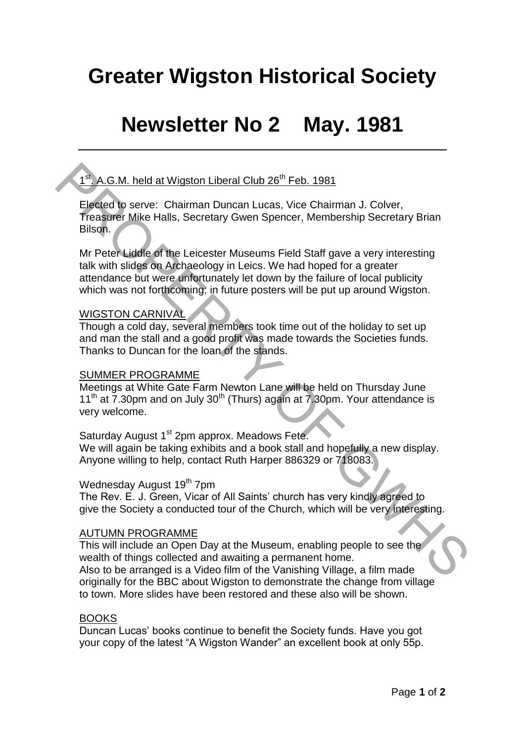# **Greater Wigston Historical Society**

# **Newsletter No 2 May. 1981**

## 1<sup>st</sup>, A.G.M. held at Wigston Liberal Club 26<sup>th</sup> Feb. 1981

Elected to serve: Chairman Duncan Lucas, Vice Chairman J. Colver, Treasurer Mike Halls, Secretary Gwen Spencer, Membership Secretary Brian Bilson.

Mr Peter Liddle of the Leicester Museums Field Staff gave a very interesting talk with slides on Archaeology in Leics. We had hoped for a greater attendance but were unfortunately let down by the failure of local publicity which was not forthcoming; in future posters will be put up around Wigston. 1<sup>at</sup> A.G.M. held at Wigston Liberal Club 26<sup>th</sup> Feb. 1981<br>
Flected to serve: Chairman Duncan Lucas, Vice Chairman J. Colver,<br>
Treasurer Mike Halls, Secretary Gwen Spencer, Membership Secretary Brian<br>
Mr Peter Liddle of t

#### WIGSTON CARNIVAL

Though a cold day, several members took time out of the holiday to set up and man the stall and a good profit was made towards the Societies funds. Thanks to Duncan for the loan of the stands.

#### SUMMER PROGRAMME

Meetings at White Gate Farm Newton Lane will be held on Thursday June 11<sup>th</sup> at 7.30pm and on July 30<sup>th</sup> (Thurs) again at 7.30pm. Your attendance is very welcome.

Saturday August 1<sup>st</sup> 2pm approx. Meadows Fete. We will again be taking exhibits and a book stall and hopefully a new display. Anyone willing to help, contact Ruth Harper 886329 or 718083.

### Wednesday August 19<sup>th</sup> 7pm

The Rev. E. J. Green, Vicar of All Saints' church has very kindly agreed to give the Society a conducted tour of the Church, which will be very interesting.

#### AUTUMN PROGRAMME

This will include an Open Day at the Museum, enabling people to see the wealth of things collected and awaiting a permanent home. Also to be arranged is a Video film of the Vanishing Village, a film made originally for the BBC about Wigston to demonstrate the change from village to town. More slides have been restored and these also will be shown.

#### BOOKS

Duncan Lucas' books continue to benefit the Society funds. Have you got your copy of the latest "A Wigston Wander" an excellent book at only 55p.